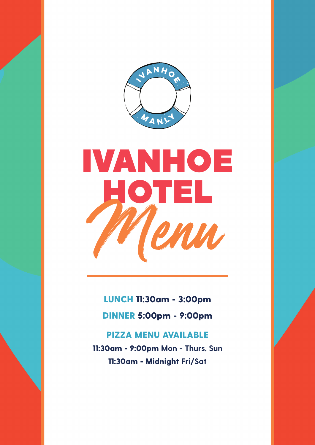

# IVANHOE HOTEL Menu

LUNCH 11:30am - 3:00pm

DINNER 5:00pm - 9:00pm

PIZZA MENU AVAILABLE 11:30am - 9:00pm **Mon - Thurs, Sun** 11:30am - Midnight **Fri/Sat**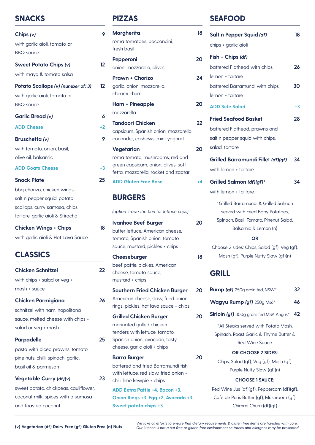## **SNACKS**

| Chips $(v)$                        | 9  |
|------------------------------------|----|
| with garlic aioli, tomato or       |    |
| <b>BBQ</b> sauce                   |    |
| <b>Sweet Potato Chips (v)</b>      | 12 |
| with mayo & tomato salsa           |    |
| Potato Scallops (v) (number of: 3) | 12 |
| with garlic aioli, tomato or       |    |
| <b>BBQ</b> sauce                   |    |
| <b>Garlic Bread (v)</b>            | 6  |
| <b>ADD Cheese</b>                  | +2 |
| <b>Bruschetta (v)</b>              | 9  |
| with tomato, onion, basil,         |    |
| olive oil, balsamic                |    |
| <b>ADD Goats Cheese</b>            | +3 |
| <b>Snack Plate</b>                 | 25 |
| bbq chorizo, chicken wings,        |    |
| salt n pepper squid, potato        |    |
| scallops, curry samosa, chips,     |    |
| tartare, garlic aioli & Sriracha   |    |
| <b>Chicken Wings + Chips</b>       | 18 |
| with garlic aioli & Hot Lava Sauce |    |
| CI ASSICS                          |    |

| <b>Chicken Schnitzel</b>            | 22 |
|-------------------------------------|----|
| with chips + salad or veg +         |    |
| mash + sauce                        |    |
| <b>Chicken Parmigiana</b>           | 26 |
| schnitzel with ham, napolitana      |    |
| sauce, melted cheese with chips +   |    |
| salad or veg + mash                 |    |
| <b>Parpadelle</b>                   | 25 |
| pasta with diced prawns, tomato,    |    |
| pine nuts, chilli, spinach, garlic, |    |
| basil oil & parmesan                |    |
| Vegetable Curry (df)(v)             | 23 |

sweet potato, chickpeas, cauliflower, coconut milk, spices with a samosa and toasted coconut

# **PIZZAS**

| <b>Margherita</b><br>roma tomatoes, bocconcini,<br>fresh basil              | 18 |
|-----------------------------------------------------------------------------|----|
| Pepperoni                                                                   | 20 |
| onion, mozzarella, olives                                                   |    |
| <b>Prawn + Chorizo</b><br>garlic, onion, mozzarella,<br>chimmi churri       | 24 |
| <b>Ham + Pineapple</b>                                                      | 20 |
| mozzarella                                                                  |    |
| <b>Tandoori Chicken</b>                                                     | 22 |
| capsicum, Spanish onion, mozzarella,<br>coriander, cashews, mint yoghurt    |    |
| Vegetarian<br>roma tomato, mushrooms, red and                               | 20 |
| green capsicum, onion, olives, soft<br>fetta, mozzarella, rocket and zaatar |    |
| <b>ADD Gluten Free Base</b>                                                 | +4 |
| <b>BURGERS</b>                                                              |    |
| (option: trade the bun for lettuce cups)                                    |    |
| <b>Ivanhoe Beef Burger</b>                                                  | 20 |
| butter lettuce, American cheese,                                            |    |
| tomato, Spanish onion, tomato                                               |    |
| sauce, mustard, pickles + chips                                             |    |
| Cheeseburger                                                                | 18 |
| beef pattie, pickles, American                                              |    |
| cheese, tomato sauce.                                                       |    |
| mustard + chips                                                             |    |
| <b>Southern Fried Chicken Burger</b>                                        | 20 |
| American cheese, slaw, fried onion                                          |    |
| rings, pickles, hot lava sauce + chips                                      |    |
| <b>Grilled Chicken Burger</b>                                               | 20 |
| marinated grilled chicken                                                   |    |
| tenders with lettuce, tomato,                                               |    |
| Spanish onion, avocado, tasty<br>cheese, garlic aioli + chips               |    |
|                                                                             | 20 |
| <b>Barra Burger</b><br>battered and fried Barramundi fish                   |    |
| with lettuce, red slaw, fried onion +                                       |    |
| chilli lime kewpie + chips                                                  |    |
| ADD Extra Pattie +4, Bacon +3,                                              |    |
| Onion Rings +3, Egg +2, Avocado +3,                                         |    |
| Sweet potato chips +3                                                       |    |

# **SEAFOOD**

| 18 | Salt n Pepper Squid (df)                            | 18   |
|----|-----------------------------------------------------|------|
|    | chips + garlic aioli                                |      |
| 20 | Fish + Chips (df)                                   |      |
|    | battered Flathead with chips,                       | 26   |
| 24 | lemon + tartare                                     |      |
|    | battered Barramundi with chips,                     | 30   |
|    | lemon + tartare                                     |      |
| 20 | <b>ADD Side Salad</b>                               | $+3$ |
| 22 | <b>Fried Seafood Basket</b>                         | 28   |
|    | battered Flathead, prawns and                       |      |
|    | salt n pepper squid with chips,                     |      |
| 20 | salad, tartare                                      |      |
|    | Grilled Barramundi Fillet (df)(gf)                  | 34   |
|    | with lemon + tartare                                |      |
| +4 | Grilled Salmon (df)(gf)*                            | 34   |
|    | with lemon + tartare                                |      |
|    | *Grilled Barramundi & Grilled Salmon                |      |
|    | served with Fried Baby Potatoes,                    |      |
| 20 | Spinach, Basil, Tomato, Pinenut Salad,              |      |
|    | Balsamic & Lemon (n)                                |      |
|    | OR<br>Choose 2 sides: Chips, Salad (gf), Veg (gf),  |      |
| 18 | Mash (gf), Purple Nutty Slaw (gf)(n)                |      |
|    | GRILL                                               |      |
| 20 | Rump (gf) 250g grain fed, NSW*                      | 32   |
|    | Wagyu Rump (gf) 250g Ms6*                           | 46   |
| 20 | <b>Sirloin (gf)</b> 300g grass fed MSA Angus*       | 42   |
|    | *All Steaks served with Potato Mash,                |      |
|    | Spinach, Roast Garlic & Thyme Butter &              |      |
|    | <b>Red Wine Sauce</b>                               |      |
| 20 | <b>OR CHOOSE 2 SIDES:</b>                           |      |
|    | Chips, Salad (gf), Veg (gf), Mash (gf),             |      |
|    | Purple Nutty Slaw (gf}(n)<br><b>CHOOSE 1 SAUCE:</b> |      |
|    | Red Wine Jus (df)(gf), Peppercorn (df)(gf),         |      |
|    | Café de Paris Butter (gf), Mushroom (gf),           |      |
|    | Chimmi Churri (df)(gf)                              |      |

.We take all efforts to ensure that dietary requirements & gluten free items are handled with care.<br>Our kitchen is not a nut free or gluten free environment so traces and allergens may be presented. Our kitchen is not a nu